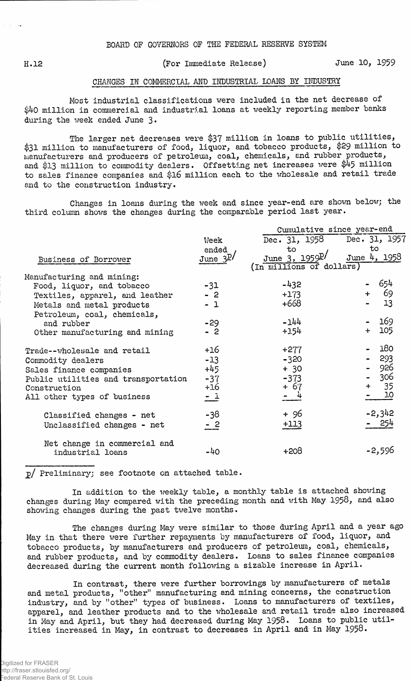## H.12 (For Immediate Release) June 10, 1959

## CHANGES IN COMMERCIAL AND INDUSTRIAL LOANS BY INDUSTRY

Most industrial classifications were included in the net decrease of \$40 million in commercial and industrial loans at weekly reporting member banks during the week ended June 3•

The larger net decreases were \$37 million in loans to public utilities, \$31 million to manufacturers of food, liquor, and tobacco products, \$29 million to manufacturers and producers of petroleum, coal, chemicals, and rubber products, and \$13 million to commodity dealers. Offsetting net increases were \$45 million to sales finance companies and \$16 million each to the wholesale and retail trade and to the construction industry.

Changes in loans during the week and since year-end are shown below; the third column shows the changes during the comparable period last year.

|                                     |                    | Cumulative since year-end   |              |  |  |  |  |
|-------------------------------------|--------------------|-----------------------------|--------------|--|--|--|--|
|                                     | Week               | Dec. 31, 1958 Dec. 31, 1957 |              |  |  |  |  |
|                                     | ended              | to                          | to           |  |  |  |  |
| Business of Borrower                | June $3P/$         | June 3, $1959^{\text{p}}/$  | June 4, 1958 |  |  |  |  |
|                                     |                    | (In millions of dollars)    |              |  |  |  |  |
| Manufacturing and mining:           |                    |                             |              |  |  |  |  |
| Food, liquor, and tobacco           | $-31$              | $-432$                      | - 654        |  |  |  |  |
| Textiles, apparel, and leather      | $-2$               | $+173$                      | 69<br>$+$    |  |  |  |  |
| Metals and metal products           | $-1$               | +668                        | 13           |  |  |  |  |
| Petroleum, coal, chemicals,         |                    |                             |              |  |  |  |  |
| and rubber                          | $-29$              | $-144$                      | 169          |  |  |  |  |
| Other manufacturing and mining      | $-2$               | $+154$                      | 105<br>$+$   |  |  |  |  |
| Trade--wholesale and retail         | +16                | $+277$                      | 180          |  |  |  |  |
| Commodity dealers                   | $-13$              | $-320$                      | $-293$       |  |  |  |  |
| Sales finance companies             | $+45$              | $+30$                       | 926          |  |  |  |  |
| Public utilities and transportation | $-37$              | $-373$                      | 306          |  |  |  |  |
| Construction                        | $+16$              | $+67$                       | + 35         |  |  |  |  |
| All other types of business         | $=$ $\overline{1}$ |                             | 10           |  |  |  |  |
| Classified changes - net            | -38                | + 96                        | $-2,342$     |  |  |  |  |
| Unclassified changes - net          | $-2$               | $+113$                      | - 254        |  |  |  |  |
| Net change in commercial and        |                    |                             |              |  |  |  |  |
| industrial loans                    | -40                | $+208$                      | -2,596       |  |  |  |  |

p/ Preliminary; see footnote on attached table.

In addition to the weekly table, a monthly table is attached showing changes during May compared with the preceding month and with May 1958, and also showing changes during the past twelve months.

The changes during May were similar to those during April and a year ago May in that there were further repayments by manufacturers of food, liquor, and tobacco products, by manufacturers and producers of petroleum, coal, chemicals, and rubber products, and by commodity dealers. Loans to sales finance companies decreased during the current month following a sizable increase in April.

In contrast, there were further borrowings by manufacturers of metals and metal products, "other" manufacturing and mining concerns, the construction industry, and by "other" types of business. Loans to manufacturers of textiles, apparel, and leather products and to the wholesale and retail trade also increased in May and April, but they had decreased during May 1958. Loans to public utilities increased in May, in contrast to decreases in April and in May 1958.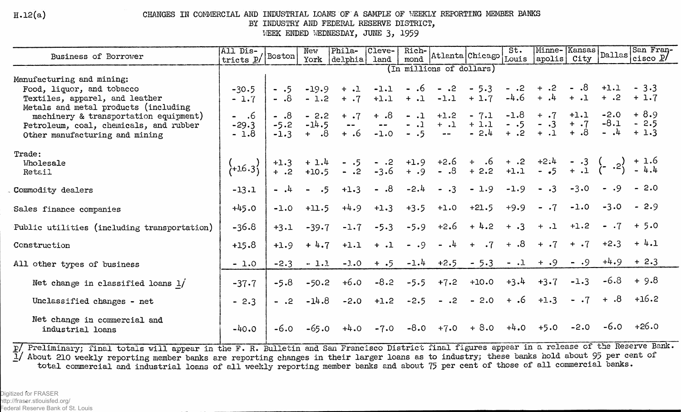$H.12(a)$ 

CHANGES IN COMMERCIAL AND INDUSTRIAL LOANS OF A SAMPLE OF WEEKLY REPORTING MEMBER BANKS

BY INDUSTRY AND FEDERAL RESERVE DISTRICT,

WEEK ENDED WEDNESDAY, JUNE 3, 1959

| Business of Borrower                                                                                                                           | $ \overline{A11} \overline{D1}$ s- $ $<br>tricts p/ Boston |                | New               | Phila-                                                                                                                  | Cleve-        | Rich-           |               | mond   Atlanta   Chicago | St.    |                        |                         | Minne-Kansas<br>  Dallas<br>  City Dallas | San Fran-<br>cisco $P$ / |
|------------------------------------------------------------------------------------------------------------------------------------------------|------------------------------------------------------------|----------------|-------------------|-------------------------------------------------------------------------------------------------------------------------|---------------|-----------------|---------------|--------------------------|--------|------------------------|-------------------------|-------------------------------------------|--------------------------|
|                                                                                                                                                |                                                            |                | York              | $\left \text{delphia}\right $                                                                                           | land          |                 |               |                          | Louis  | $ $ apolis $ $         |                         |                                           |                          |
|                                                                                                                                                | (In millions of dollars)                                   |                |                   |                                                                                                                         |               |                 |               |                          |        |                        |                         |                                           |                          |
| Manufacturing and mining:                                                                                                                      |                                                            |                |                   |                                                                                                                         |               |                 |               |                          |        |                        |                         |                                           |                          |
| Food, liquor, and tobacco                                                                                                                      | $-30.5$                                                    | $-.5$          | $-19.9$           | $+$ .1                                                                                                                  | $-1.1$        |                 | $-.6 - .2$    | $-5.3$                   |        | $-2 + 2 - 8$           |                         | +1.1 - 3.3                                |                          |
| Textiles, apparel, and leather                                                                                                                 | $-1.7$                                                     | $\cdot$ .8     | $-1.2$            | $+ .7$                                                                                                                  | $+1.1$        |                 | $+ 1 - 1.1$   | $+1.7$                   | $-4.6$ | $+$ .4                 | $+$ $\cdot$ 1           | $+ .2 + 1.7$                              |                          |
| Metals and metal products (including                                                                                                           |                                                            |                |                   |                                                                                                                         |               |                 | $+1.2$        | $-7.1$                   | $-1.8$ | $+$ .7                 | $+1.1$                  | $-2.0$                                    | + 8.9                    |
| machinery & transportation equipment)                                                                                                          | - .6                                                       | $- .8$         | $-2.2$<br>$-14.5$ | $+$ .7                                                                                                                  | $+ .8$        | $-.1$           | $+$ $\cdot$ 1 | $+ 1.1$                  | $-.5$  | $- .3$                 |                         | $-8.1 - 2.5$                              |                          |
| Petroleum, coal, chemicals, and rubber                                                                                                         | $-29.3$                                                    | $-5.2$         |                   | $\sim$ $\sim$                                                                                                           | $\sim$ $\sim$ | $-.1$<br>$- .5$ |               | $-2.4$                   | $+$ .2 | $+ .1$                 | $+$ $\cdot 7$<br>$+ .8$ | $-4 + 1.3$                                |                          |
| Other manufacturing and mining                                                                                                                 | $-1.8$                                                     | $-1.3$         | $+$ .8            | $+ .6$                                                                                                                  | $-1.0$        |                 | $\frac{1}{2}$ |                          |        |                        |                         |                                           |                          |
|                                                                                                                                                |                                                            |                |                   |                                                                                                                         |               |                 |               |                          |        |                        |                         |                                           |                          |
| Trade:                                                                                                                                         |                                                            |                |                   |                                                                                                                         |               |                 |               |                          |        |                        |                         |                                           |                          |
| Wholesale                                                                                                                                      | $\{+16.3\}$                                                | $+1.3$<br>+ .2 |                   | + 1.4 - .5 - .2 +1.9 +2.6 + .6 + .2 +2.4 - .3 ( .2) + 1.6<br>+10.5 - .2 -3.6 + .9 - .8 + 2.2 +1.1 - .5 + .1 ( .2) - 4.4 |               |                 |               |                          |        |                        |                         |                                           |                          |
| Retail                                                                                                                                         |                                                            |                |                   |                                                                                                                         |               |                 |               |                          |        |                        |                         |                                           |                          |
| Commodity dealers                                                                                                                              | $-13.1$                                                    | $-$ , $4$      | $- 0.5$           | $+1.3$                                                                                                                  | $- 0.8$       | $-2.4$          | $- .3$        | $-1.9$                   | $-1.9$ | $\cdot$ 3<br>$\bullet$ | $-3.0$                  | $-0.9$                                    | $-2.0$                   |
|                                                                                                                                                |                                                            |                |                   |                                                                                                                         |               |                 |               |                          |        |                        |                         |                                           |                          |
| Sales finance companies                                                                                                                        | $+45.0$                                                    | $-1.0$         | $+11.5$           | $+4.9$                                                                                                                  | $+1.3$        | $+3.5$          | $+1.0$        | $+21.5$                  | $+9.9$ | $- .7$                 | $-1.0$                  | $-3.0$                                    | $-2.9$                   |
|                                                                                                                                                |                                                            |                |                   |                                                                                                                         |               |                 |               |                          |        |                        |                         |                                           |                          |
| Public utilities (including transportation)                                                                                                    | $-36.8$                                                    | $+3.1$         | $-39.7$           | $-1.7$                                                                                                                  | $-5.3$        | $-5.9$          | $+2.6$        | $+4.2$                   | $+ .3$ | $+$ .1                 | $+1.2$                  | $-.7$                                     | $+ 5.0$                  |
|                                                                                                                                                |                                                            |                |                   |                                                                                                                         |               |                 |               |                          |        |                        |                         |                                           |                          |
| Construction                                                                                                                                   | $+15.8$                                                    | $+1.9$         | $+4.7$            | $+1.1$                                                                                                                  | $+$ .1        | $- 0.9$         | $-1$          | $+$ .7                   | $8. +$ | $+ .7$                 | $+ .7$                  | $+2.3$                                    | $+4.1$                   |
|                                                                                                                                                |                                                            |                |                   |                                                                                                                         |               |                 |               |                          |        |                        |                         |                                           |                          |
| All other types of business                                                                                                                    | $-1.0$                                                     | $-2.3$         | $-1.1$            | $-1.0$                                                                                                                  | $+ .5$        |                 |               | $-1.4$ $+2.5$ $-5.3$     |        | $-1 + .9$              | $- 0.9$                 | $+4.9$                                    | $+2.3$                   |
|                                                                                                                                                |                                                            |                |                   |                                                                                                                         |               |                 |               |                          |        |                        |                         | $-6.8$                                    | $+9.8$                   |
| Net change in classified loans $1/$                                                                                                            | $-37.7$                                                    | $-5.8$         | $-50.2$           | $+6.0$                                                                                                                  | $-8.2$        | $-5.5$          | $+7.2$        | $+10.0$                  | $+3.4$ | $+3.7$                 | $-1.3$                  |                                           |                          |
|                                                                                                                                                |                                                            |                |                   |                                                                                                                         |               |                 |               |                          | $+ .6$ | $+1.3$                 | $- 0.7$                 | $\ddot{8}$ .                              | $+16.2$                  |
| Unclassified changes - net                                                                                                                     | $-2.3$                                                     | $-$ .2         | $-14.8$           | $-2.0$                                                                                                                  | $+1.2$        | $-2.5$          | $-.2$         | $-2.0$                   |        |                        |                         |                                           |                          |
|                                                                                                                                                |                                                            |                |                   |                                                                                                                         |               |                 |               |                          |        |                        |                         |                                           |                          |
| Net change in commercial and                                                                                                                   |                                                            |                |                   |                                                                                                                         | $-7.0$        |                 | $-8.0$ +7.0   | $+8.0$                   | $+4.0$ | $+5.0$                 |                         | $-2.0$ $-6.0$ $+26.0$                     |                          |
| industrial loans                                                                                                                               | $-40.0$                                                    | $-6.0$         | $-65.0$           | $+4.0$                                                                                                                  |               |                 |               |                          |        |                        |                         |                                           |                          |
| D/ Preliminary: final totals will appear in the F B Bulletin and San Francisco District final figures appear in a release of the Reserve Bank. |                                                            |                |                   |                                                                                                                         |               |                 |               |                          |        |                        |                         |                                           |                          |

p/ Preliminary; final totals will appear in the F. R. Bulletin and San Francisco District final figures appear in a release of the Reserve Bar 1/ About 210 weekly reporting member banks are reporting changes in their large total commercial and industrial loans of all weekly reporting member banks and about 75 per cent of those of all commercial banks.